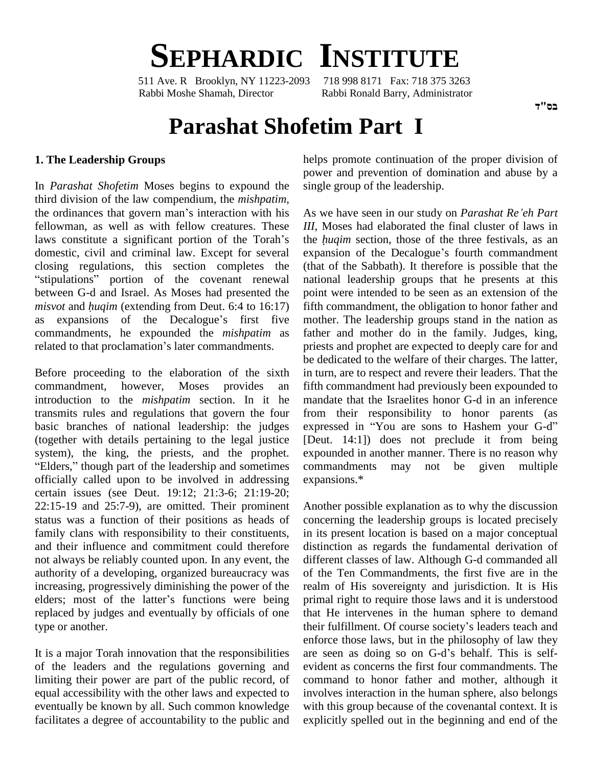

511 Ave. R Brooklyn, NY 11223-2093 Rabbi Moshe Shamah, Director Rabbi Ronald Barry, Administrator

#### בס"ד

# **Parashat Shofetim Part I**

#### **1. The Leadership Groups**

In *Parashat Shofetim* Moses begins to expound the third division of the law compendium, the *mishpatim*, In *Parashat Shofetim* Moses begins to expound the sing third division of the law compendium, the *mishpatim*, the ordinances that govern man's interaction with his As v fellowman, as well as with fellow creatures. These the ordinances that govern man's interaction with his fellowman, as well as with fellow creatures. These laws constitute a significant portion of the Torah's domestic, civil and criminal law. Except for several ex closing regulations, this section completes the omestic, civil and criminal law. Except for several ex<br>losing regulations, this section completes the (the<br>stipulations" portion of the covenant renewal na between G-d and Israel. As Moses had presented the "stipulations" portion of the covenant renewal nat<br>between G-d and Israel. As Moses had presented the poi<br>*misvot* and *huqim* (extending from Deut. 6:4 to 16:17) fift misvot and  $huqim$  (extending from Deut. 6:4 to 16:17)<br>as expansions of the Decalogue's first five commandments, he expounded the *mishpatim* as as expansions of the Decalogue's first five<br>commandments, he expounded the *mishpatim* as<br>related to that proclamation's later commandments.

Before proceeding to the elaboration of the sixth commandment, however, Moses provides an introduction to the *mishpatim* section. In it he transmits rules and regulations that govern the four<br>basic branches of national leadership: the judges expressed in "You are sons to Hashem your G-d" basic branches of national leadership: the judges (together with details pertaining to the legal justice system), the king, the priests, and the prophet. <sup>ì</sup>system), the king, the priests, and the prophet. expounded in an "Elders," though part of the leadership and sometimes commandments officially called upon to be involved in addressing certain issues (see Deut. 19:12; 21:3-6; 21:19-20;  $22:15-19$  and  $25:7-9$ ), are omitted. Their prominent status was a function of their positions as heads of family clans with responsibility to their constituents, and their influence and commitment could therefore not always be reliably counted upon. In any event, the authority of a developing, organized bureaucracy was of the increasing, progressively diminishing the power of the realm elders; most of the latter's functions were being primal increasing, progressively diminishing the power of the replaced by judges and eventually by officials of one type or another.

of the leaders and the regulations governing and limiting their power are part of the public record, of equal accessibility with the other laws and expected to eventually be known by all. Such common knowledge facilitates a degree of accountability to the public and helps promote continuation of the proper division of power and prevention of domination and abuse by a single group of the leadership. As we have seen in our study on *Parashat Reíeh Part*

*III*, Moses had elaborated the final cluster of laws in As we have seen in our study on *Parashat Re'eh Part III*, Moses had elaborated the final cluster of laws in the *huqim* section, those of the three festivals, as an the *huqim* section, those of the three festivals, as an expansion of the Decalogue's fourth commandment (that of the Sabbath). It therefore is possible that the national leadership groups that he presents at this point were intended to be seen as an extension of the fifth commandment, the obligation to honor father and mother. The leadership groups stand in the nation as father and mother do in the family. Judges, king, priests and prophet are expected to deeply care for and be dedicated to the welfare of their charges. The latter, in turn, are to respect and revere their leaders. That the fifth commandment had previously been expounded to mandate that the Israelites honor G-d in an inference from their responsibility to honor parents (as mandate that the Israelites honor G-d in an inference<br>from their responsibility to honor parents (as<br>expressed in "You are sons to Hashem your G-d" [Deut. 14:1]) does not preclude it from being expounded in another manner. There is no reason why may not be given multiple expansions.\*

It is a major Torah innovation that the responsibilities are seen as doing so on G-d's behalf. This is self-Another possible explanation as to why the discussion concerning the leadership groups is located precisely in its present location is based on a major conceptual distinction as regards the fundamental derivation of different classes of law. Although G-d commanded all of the Ten Commandments, the first five are in the realm of His sovereignty and jurisdiction. It is His primal right to require those laws and it is understood<br>that He intervenes in the human sphere to demand<br>their fulfillment. Of course society's leaders teach and that He intervenes in the human sphere to demand enforce those laws, but in the philosophy of law they their fulfillment. Of course society's leaders teach and<br>enforce those laws, but in the philosophy of law they<br>are seen as doing so on G-d's behalf. This is selfevident as concerns the first four commandments. The command to honor father and mother, although it involves interaction in the human sphere, also belongs with this group because of the covenantal context. It is explicitly spelled out in the beginning and end of the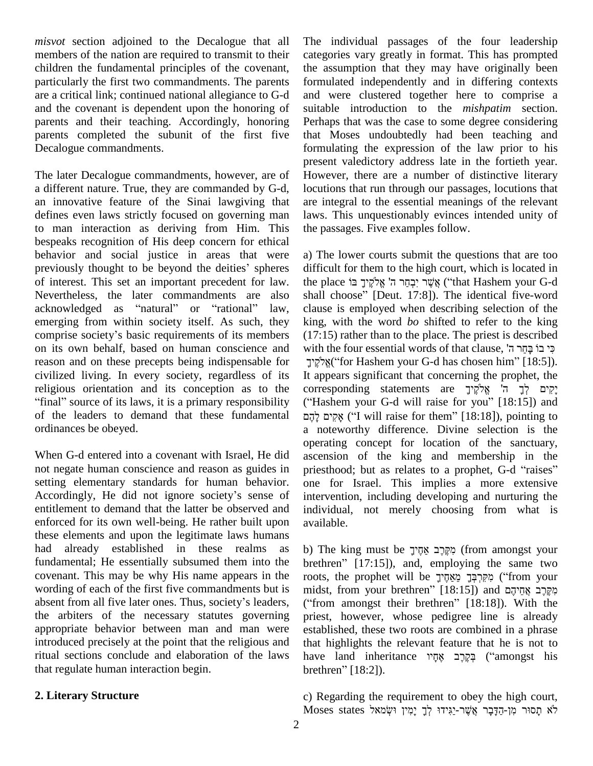*misvot* section adjoined to the Decalogue that all members of the nation are required to transmit to their children the fundamental principles of the covenant, particularly the first two commandments. The parents are a critical link; continued national allegiance to G-d and the covenant is dependent upon the honoring of parents and their teaching. Accordingly, honoring parents completed the subunit of the first five Decalogue commandments.

The later Decalogue commandments, however, are of a different nature. True, they are commanded by G-d, an innovative feature of the Sinai lawgiving that defines even laws strictly focused on governing man to man interaction as deriving from Him. This bespeaks recognition of His deep concern for ethical behavior and social justice in areas that were a) The bespeaks recognition of His deep concern for ethical<br>behavior and social justice in areas that were a) T<br>previously thought to be beyond the deities' spheres diffi of interest. This set an important precedent for law.<br>Nevertheless, the later commandments are also shacknowledged as "natural" or "rational" law, cl Nevertheless, the later commandments are also shall choose" [Deut. 17:8]). The identical five-word emerging from within society itself. As such, they acknowledged as "natural" or "rational" law,<br>emerging from within society itself. As such, they<br>comprise society's basic requirements of its members on its own behalf, based on human conscience and reason and on these precepts being indispensable for civilized living. In every society, regardless of its It appreligious orientation and its conception as to the corres "final" source of its laws, it is a primary responsibility ("Has religious orientation and its conception as to the of the leaders to demand that these fundamental ordinances be obeyed.

When G-d entered into a covenant with Israel, He did not negate human conscience and reason as guides in priesthood; but as relates to a prophet, G-d "raises" setting elementary standards for human behavior. Accordingly, He did not ignore society's sense of entitlement to demand that the latter be observed and enforced for its own well-being. He rather built upon these elements and upon the legitimate laws humans had already established in these realms as fundamental; He essentially subsumed them into the brethren" [17:15]), and, employing the same two covenant. This may be why His name appears in the roots wording of each of the first five commandments but is midst absent from all five later ones. Thus, society's leaders, ("from wording of each of the first five commandments but is the arbiters of the necessary statutes governing appropriate behavior between man and man were introduced precisely at the point that the religious and ritual sections conclude and elaboration of the laws that regulate human interaction begin.

# **2. Literary Structure**

The individual passages of the four leadership categories vary greatly in format. This has prompted the assumption that they may have originally been formulated independently and in differing contexts and were clustered together here to comprise a suitable introduction to the *mishpatim* section. Perhaps that was the case to some degree considering that Moses undoubtedly had been teaching and formulating the expression of the law prior to his present valedictory address late in the fortieth year. However, there are a number of distinctive literary locutions that run through our passages, locutions that are integral to the essential meanings of the relevant laws. This unquestionably evinces intended unity of the passages. Five examples follow.

a) The lower courts submit the questions that are too ʤdifficult for them to the high court, which is located in a) The lower courts submit the questions that are too difficult for them to the high court, which is located in<br>the place אָשֶׁר יִבְחֵר ה' אֱלֹקֶיךָ בּוֹ (''that Hashem your G-d difficult for them to the high court, which is located in<br>the place אֲשֶׁר יִבְחֵר ה' אֱלֹקֱיךָ בּוֹ<br>shall choose" [Deut. 17:8]). The identical five-word clause is employed when describing selection of the king, with the word *bo* shifted to refer to the king ʤ(17:15) rather than to the place. The priest is described king, with the word *bo* shifted to refer to the king (17:15) rather than to the place. The priest is described with the four essential words of that clause, כי בוֹ בָּחַר ה' 5) rather than to the place. The priest is described<br>he four essential words of that clause, "פִּי בוֹ בָּחֲר ה<br>("for Hashem your G-d has chosen him" [18:5]). It appears significant that concerning the prophet, the יִירְ ("for Hashem your G-d has chosen him")<br>It appears significant that concerning the proj<br>ה' אֱלֹקֵיךָ statements are im" [18:5]).<br>prophet, the<br>יקים לד הי It appears significant that concerning the prophet, the<br>corresponding statements are יָקִים לְךָ ה' אֱלֹקֶיךָ<br>("Hashem your G-d will raise for you" [18:15]) and corresponding statements are אֱלֹקֵיךְ אֵלֹקֵיךָ ("Hashem your G-d will raise for you" [18:15]) and<br>אקים להָם ("I will raise for them" [18:18]), pointing to a noteworthy difference. Divine selection is the operating concept for location of the sanctuary, ascension of the king and membership in the operating concept for location of the sanctuary, ascension of the king and membership in the priesthood; but as relates to a prophet, G-d "raises" one for Israel. This implies a more extensive intervention, including developing and nurturing the individual, not merely choosing from what is available. available.<br>b) The king must be מִקֶּרֶב אַחֶיךָ (from amongst your

b) The king must be מְקֶרֶב אַחֶיךָ<br>brethren" [17:15]), and, employing the same two b) The king must be מְקֶרֶב אֲחֶיךָ (from amongst your brethren" [17:15]), and, employing the same two<br>roots, the prophet will be מְקִרְבָּךָ מֵאֲחֶיךָ מֵאֲחֶי brethren" [17:15]), and, employing the same two<br>roots, the prophet will be מְאֶרְבָּךָ מֵאֵחֶיךָ ("from your<br>midst, from your brethren" [18:15]) and מְאֱרָב אֲחֵיהֶם roots, the prophet will be מִקִּרְבָּךָ מֵאֲחֶיךָ ("from your midst, from your brethren" [18:15]) and מְקֶרֶב אֲחֵיהֶם<br>מְקֶרֶב אֲחֵיהֶם and (18:15]). With the priest, however, whose pedigree line is already established, these two roots are combined in a phrase that highlights the relevant feature that he is not to established, these two roots are combined in a phrase<br>that highlights the relevant feature that he is not to<br>have land inheritance אֶחֶיר אֶחֶי that highlights the re<br>have land inheritan<br>brethren" [18:2]).

c) Regarding the requirement to obey the high court, Moses states לֹא תַסוּר מִן-הַדָּבָר אֲשֶׁר-יַגִּידוּ לְךָ יַמִין וּשָׂמאל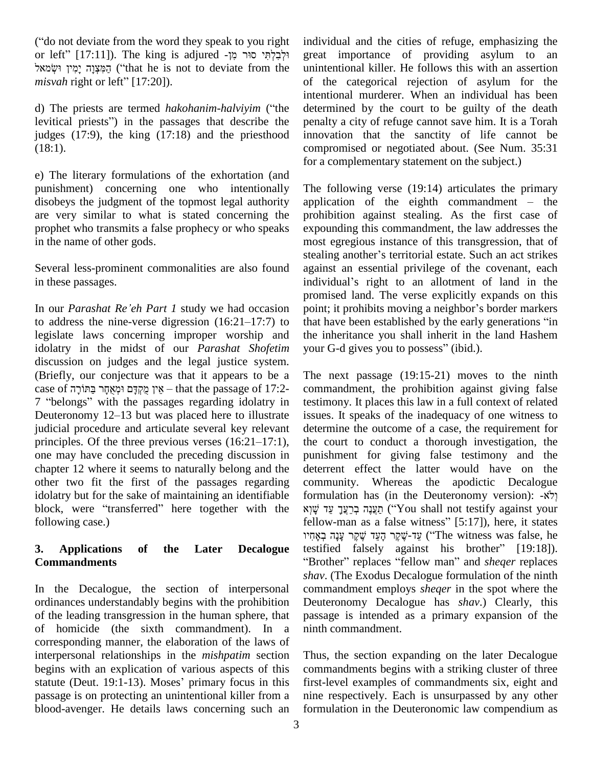"
("do not deviate from the word they speak to you right in or left" ("do not deviate from the word they speak to you right<br>or left" [17:11]). The king is adjured יַקְבְלְתִּי סוּר מִןot deviate from the word they speak to you right<br>
" הַמִּצְּוָה יָמִין great || הִקְּבְלְתֵּי סוּר מִן sadjured || הַמִּצְוָה || great<br>הַמִּצְוָה יָמִין ("that he is not to deviate from the uninten or left" [17:11]). The king is ad<br>הַמִּצְוָה יָמִין וּשְׂמאל ("that he is not<br>*misvah* right or left" [17:20]). misvah right or left" [17:20]).<br>
d) The priests are termed *hakohanim-halviyim* ("the

levitical priests") in the passages that describe the judges (17:9), the king (17:18) and the priesthood  $(18:1)$ .

e) The literary formulations of the exhortation (and punishment) concerning one who intentionally disobeys the judgment of the topmost legal authority are very similar to what is stated concerning the prophet who transmits a false prophecy or who speaks in the name of other gods.

Several less-prominent commonalities are also found in these passages. In these passages.<br>
In our *Parashat Re'eh Part 1* study we had occasion point;

promis<br>In our *Parashat Re'eh Part 1* study we had occasion point;<br>to address the nine-verse digression (16:21–17:7) to that ha legislate laws concerning improper worship and idolatry in the midst of our *Parashat Shofetim* your G-d gives you to possess" (ibid.). discussion on judges and the legal justice system. (Briefly, our conjecture was that it appears to be a discussion on judges and the legal justice system.<br>(Briefly, our conjecture was that it appears to be a The<br>case of יִן מֻקְדָּם וּמְאֻחָר בַּתּוֹרָה – that the passage of 17:2- cor Friefly, our conjecture was that it appears to be a The r rease of 17:2-<br>
27 ibelongs" with the passages regarding idolatry in testim<br>
7 "belongs" with the passages regarding idolatry in testim  $\,$ פּרוֹרָה 12°C exse of איז מַקְדָּם וּמְאָחָר בַּתּוֹרָה ent the passage of 17:2-comm 7 "belongs" with the passages regarding idolatry in testin<br>Deuteronomy 12–13 but was placed here to illustrate issue judicial procedure and articulate several key relevant Deuteronomy 12–13 but was placed here to illustrate judicial procedure and articulate several key relevant principles. Of the three previous verses  $(16:21-17:1)$ , one may have concluded the preceding discussion in chapter 12 where it seems to naturally belong and the other two fit the first of the passages regarding idolatry but for the sake of maintaining an identifiable other two fit the first of the passages regarding comm<br>idolatry but for the sake of maintaining an identifiable form<br>block, were "transferred" here together with the  $xy\ddot{y}$ following case.)

## **3. Applications of the Later Decalogue Commandments**

In the Decalogue, the section of interpersonal ordinances understandably begins with the prohibition of the leading transgression in the human sphere, that of homicide (the sixth commandment). In a corresponding manner, the elaboration of the laws of interpersonal relationships in the *mishpatim* section begins with an explication of various aspects of this com interpersonal relationships in the *mishpatim* section Thu<br>begins with an explication of various aspects of this com<br>statute (Deut. 19:1-13). Moses' primary focus in this first passage is on protecting an unintentional killer from a blood-avenger. He details laws concerning such an

individual and the cities of refuge, emphasizing the great importance of providing asylum to an unintentional killer. He follows this with an assertion of the categorical rejection of asylum for the intentional murderer. When an individual has been determined by the court to be guilty of the death penalty a city of refuge cannot save him. It is a Torah innovation that the sanctity of life cannot be compromised or negotiated about. (See Num. 35:31 for a complementary statement on the subject.)

The following verse (19:14) articulates the primary application of the eighth commandment  $-$  the prohibition against stealing. As the first case of expounding this commandment, the law addresses the most egregious instance of this transgression, that of stealing another's territorial estate. Such an act strikes most egregious instance of this transgression, that of against an essential privilege of the covenant, each stealing another's territorial estate. Such an act strikes against an essential privilege of the covenant, each individual's right to an allotment of land in the promised land. The verse explicitly expands on this individual's right to an allotment of land in the<br>promised land. The verse explicitly expands on this<br>point; it prohibits moving a neighbor's border markers promised land. The verse explicitly expands on this<br>point; it prohibits moving a neighbor's border markers<br>that have been established by the early generations "in the inheritance you shall inherit in the land Hashem that have been established by the early gen<br>the inheritance you shall inherit in the la<br>your G-d gives you to possess" (ibid.).

The next passage (19:15-21) moves to the ninth commandment, the prohibition against giving false testimony. It places this law in a full context of related issues. It speaks of the inadequacy of one witness to determine the outcome of a case, the requirement for the court to conduct a thorough investigation, the punishment for giving false testimony and the deterrent effect the latter would have on the community. Whereas the apodictic Decalogue deterrent effect the latter would have on the<br>community. Whereas the apodictic Decalogue<br>formulation has (in the Deuteronomy version): -לֹא munity. Whereas the apodictic Decalogue<br>pulation has (in the Deuteronomy version): אֲלֹא-<br>יְחֲעֲנָה בְרֵעֲךָ עֵד ('You shall not testify against your formulation has (in the Deuteronomy version): אֲלֹאָ- ?<br>תַעֲנֶה בְרַעֲךָ עֵד שָׁוְא (''You shall not testify against your fellow-man as a false witness'' [5:17]), here, it states תַעֲנָה כְּרֵעֵךְ עֵד שׁׁוְא ("You shall not testify against your ַתַּעֲנֶהּ בְּרֵעֲךָ עֵ ("You shall not testify against your) תַעֲנֶהּ בְרֵעֲךָ ("You shall not testify against your<br>יַעֲד-שֶׁקֶר הָעֵד שָׁקֶר עָנָה / "The witness was false, he fellow-man as a false witness" [5:17]), here, it states<br>יבי-שֶׁקֶר הָעֲד שֶׁקֶר עָנָה בְאָחִיו ("The witness was false, he<br>testified falsely against his brother" [19:18]). "Brother" replaces "fellow man" and *sheqer* replaces *shav*. (The Exodus Decalogue formulation of the ninth commandment employs *sheqer* in the spot where the Deuteronomy Decalogue has *shav*.) Clearly, this passage is intended as a primary expansion of the ninth commandment.

Thus, the section expanding on the later Decalogue commandments begins with a striking cluster of three first-level examples of commandments six, eight and nine respectively. Each is unsurpassed by any other formulation in the Deuteronomic law compendium as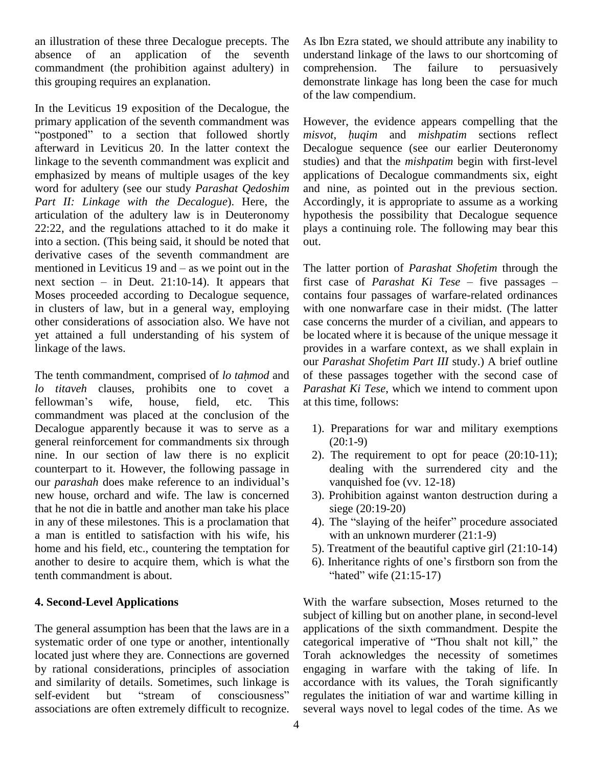an illustration of these three Decalogue precepts. The absence of an application of the seventh commandment (the prohibition against adultery) in this grouping requires an explanation.

In the Leviticus 19 exposition of the Decalogue, the primary application of the seventh commandment was <br>However, the seventh commandment was primary application of the seventh commandment was<br>"postponed" to a section that followed shortly afterward in Leviticus 20. In the latter context the linkage to the seventh commandment was explicit and emphasized by means of multiple usages of the key word for adultery (see our study *Parashat Qedoshim Part II: Linkage with the Decalogue*). Here, the articulation of the adultery law is in Deuteronomy 22:22, and the regulations attached to it do make it into a section. (This being said, it should be noted that out.<br>derivative cases of the seventh commandment are<br>mentioned in Leviticus 19 and – as we point out in the The derivative cases of the seventh commandment are<br>mentioned in Leviticus 19 and – as we point out in the The  $\sqrt{2}$ <br>next section – in Deut. 21:10-14). It appears that first Moses proceeded according to Decalogue sequence, in clusters of law, but in a general way, employing other considerations of association also. We have not yet attained a full understanding of his system of linkage of the laws. Inkage of the laws. providently providently providently providently providently providently providently providently providently providently providently providently providently providently providently providently providentl

*lo titaveh* clauses, prohibits one to covet a The tenth commandment, comprised of lo tahmod and of t<br>lo titaveh clauses, prohibits one to covet a Para<br>fellowman's wife, house, field, etc. This at th commandment was placed at the conclusion of the Decalogue apparently because it was to serve as a general reinforcement for commandments six through nine. In our section of law there is no explicit 2)<br>counterpart to it. However, the following passage in<br>our *parashah* does make reference to an individual's counterpart to it. However, the following passage in new house, orchard and wife. The law is concerned that he not die in battle and another man take his place in any of these milestones. This is a proclamation that a man is entitled to satisfaction with his wife, his home and his field, etc., countering the temptation for another to desire to acquire them, which is what the tenth commandment is about.

## **4. Second-Level Applications**

The general assumption has been that the laws are in a systematic order of one type or another, intentionally categorical imperative of "Thou shalt not kill," the located just where they are. Connections are governed by rational considerations, principles of association engaging and similarity of details. Sometimes, such linkage is accord self-evident but "stream of consciousness" regular and similarity of details. Sometimes, such linkage is associations are often extremely difficult to recognize.

As Ibn Ezra stated, we should attribute any inability to understand linkage of the laws to our shortcoming of comprehension. The failure to persuasively demonstrate linkage has long been the case for much of the law compendium.

However, the evidence appears compelling that the *misvot*, *<sup>h</sup>uqim* and *mishpatim* sections reflect Decalogue sequence (see our earlier Deuteronomy studies) and that the *mishpatim* begin with first-level applications of Decalogue commandments six, eight and nine, as pointed out in the previous section. Accordingly, it is appropriate to assume as a working hypothesis the possibility that Decalogue sequence plays a continuing role. The following may bear this out.

The latter portion of*Parashat Shofetim* through the The latter portion of *Parashat Shofetim* through the<br>first case of *Parashat Ki Tese* – five passages – contains four passages of warfare-related ordinances with one nonwarfare case in their midst. (The latter case concerns the murder of a civilian, and appears to be located where it is because of the unique message it provides in a warfare context, as we shall explain in our *Parashat Shofetim Part III* study.) A brief outline of these passages together with the second case of *Parashat Ki Tese*, which we intend to comment upon at this time, follows:

- 1). Preparations for war and military exemptions  $(20:1-9)$
- 2). The requirement to opt for peace  $(20:10-11)$ ; dealing with the surrendered city and the vanquished foe (vv. 12-18)
- 3). Prohibition against wanton destruction during a siege (20:19-20)
- 4). The "slaying of the heifer" procedure associated with an unknown murderer  $(21:1-9)$ with an unknown murderer  $(21:1-9)$ <br>5). Treatment of the beautiful captive girl  $(21:10-14)$ <br>6). Inheritance rights of one's firstborn son from the
- 5). Treatment of the beautiful captive girl (21:10-14) ì
- reatment of the beautiful capinheritance rights of one's firs<br>hated" wife (21:15-17)

With the warfare subsection, Moses returned to the subject of killing but on another plane, in second-level<br>applications of the sixth commandment. Despite the<br>categorical imperative of "Thou shalt not kill," the applications of the sixth commandment. Despite the Torah acknowledges the necessity of sometimes engaging in warfare with the taking of life. In accordance with its values, the Torah significantly regulates the initiation of war and wartime killing in several ways novel to legal codes of the time. As we